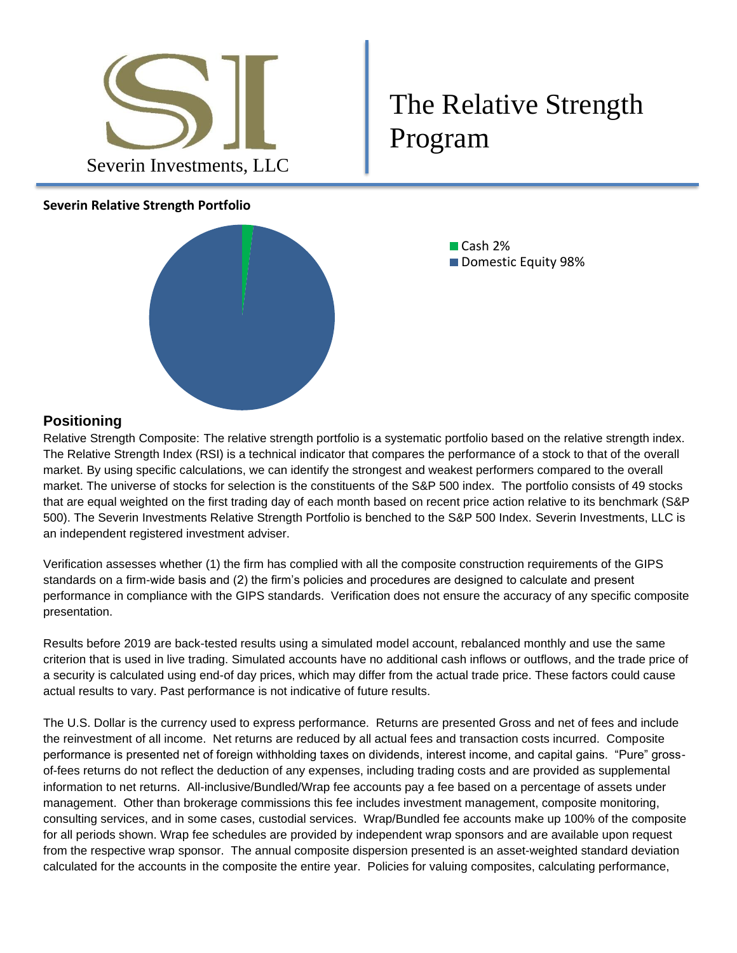

## The Relative Strength Program

## **Severin Relative Strength Portfolio**



■ Cash 2% ■ Domestic Equity 98%

## **Positioning**

Relative Strength Composite: The relative strength portfolio is a systematic portfolio based on the relative strength index. The Relative Strength Index (RSI) is a technical indicator that compares the performance of a stock to that of the overall market. By using specific calculations, we can identify the strongest and weakest performers compared to the overall market. The universe of stocks for selection is the constituents of the S&P 500 index. The portfolio consists of 49 stocks that are equal weighted on the first trading day of each month based on recent price action relative to its benchmark (S&P 500). The Severin Investments Relative Strength Portfolio is benched to the S&P 500 Index. Severin Investments, LLC is an independent registered investment adviser.

Verification assesses whether (1) the firm has complied with all the composite construction requirements of the GIPS standards on a firm-wide basis and (2) the firm's policies and procedures are designed to calculate and present performance in compliance with the GIPS standards. Verification does not ensure the accuracy of any specific composite presentation.

Results before 2019 are back-tested results using a simulated model account, rebalanced monthly and use the same criterion that is used in live trading. Simulated accounts have no additional cash inflows or outflows, and the trade price of a security is calculated using end-of day prices, which may differ from the actual trade price. These factors could cause actual results to vary. Past performance is not indicative of future results.

The U.S. Dollar is the currency used to express performance. Returns are presented Gross and net of fees and include the reinvestment of all income. Net returns are reduced by all actual fees and transaction costs incurred. Composite performance is presented net of foreign withholding taxes on dividends, interest income, and capital gains. "Pure" grossof-fees returns do not reflect the deduction of any expenses, including trading costs and are provided as supplemental information to net returns. All-inclusive/Bundled/Wrap fee accounts pay a fee based on a percentage of assets under management. Other than brokerage commissions this fee includes investment management, composite monitoring, consulting services, and in some cases, custodial services. Wrap/Bundled fee accounts make up 100% of the composite for all periods shown. Wrap fee schedules are provided by independent wrap sponsors and are available upon request from the respective wrap sponsor. The annual composite dispersion presented is an asset-weighted standard deviation calculated for the accounts in the composite the entire year. Policies for valuing composites, calculating performance,